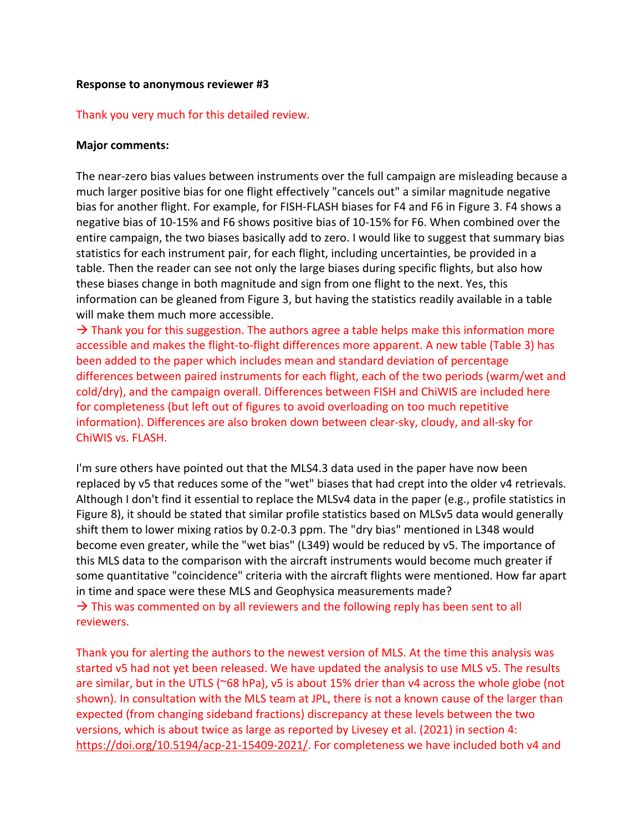### **Response to anonymous reviewer #3**

## Thank you very much for this detailed review.

### **Major comments:**

The near-zero bias values between instruments over the full campaign are misleading because a much larger positive bias for one flight effectively "cancels out" a similar magnitude negative bias for another flight. For example, for FISH-FLASH biases for F4 and F6 in Figure 3. F4 shows a negative bias of 10-15% and F6 shows positive bias of 10-15% for F6. When combined over the entire campaign, the two biases basically add to zero. I would like to suggest that summary bias statistics for each instrument pair, for each flight, including uncertainties, be provided in a table. Then the reader can see not only the large biases during specific flights, but also how these biases change in both magnitude and sign from one flight to the next. Yes, this information can be gleaned from Figure 3, but having the statistics readily available in a table will make them much more accessible.

 $\rightarrow$  Thank you for this suggestion. The authors agree a table helps make this information more accessible and makes the flight-to-flight differences more apparent. A new table (Table 3) has been added to the paper which includes mean and standard deviation of percentage differences between paired instruments for each flight, each of the two periods (warm/wet and cold/dry), and the campaign overall. Differences between FISH and ChiWIS are included here for completeness (but left out of figures to avoid overloading on too much repetitive information). Differences are also broken down between clear-sky, cloudy, and all-sky for ChiWIS vs. FLASH.

I'm sure others have pointed out that the MLS4.3 data used in the paper have now been replaced by v5 that reduces some of the "wet" biases that had crept into the older v4 retrievals. Although I don't find it essential to replace the MLSv4 data in the paper (e.g., profile statistics in Figure 8), it should be stated that similar profile statistics based on MLSv5 data would generally shift them to lower mixing ratios by 0.2-0.3 ppm. The "dry bias" mentioned in L348 would become even greater, while the "wet bias" (L349) would be reduced by v5. The importance of this MLS data to the comparison with the aircraft instruments would become much greater if some quantitative "coincidence" criteria with the aircraft flights were mentioned. How far apart in time and space were these MLS and Geophysica measurements made?

 $\rightarrow$  This was commented on by all reviewers and the following reply has been sent to all reviewers.

Thank you for alerting the authors to the newest version of MLS. At the time this analysis was started v5 had not yet been released. We have updated the analysis to use MLS v5. The results are similar, but in the UTLS (~68 hPa), v5 is about 15% drier than v4 across the whole globe (not shown). In consultation with the MLS team at JPL, there is not a known cause of the larger than expected (from changing sideband fractions) discrepancy at these levels between the two versions, which is about twice as large as reported by Livesey et al. (2021) in section 4: https://doi.org/10.5194/acp-21-15409-2021/. For completeness we have included both v4 and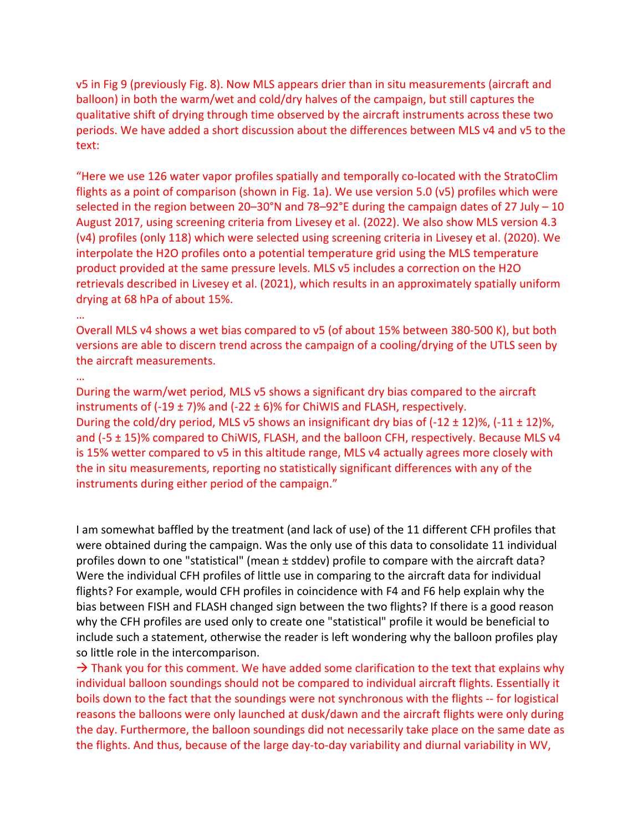v5 in Fig 9 (previously Fig. 8). Now MLS appears drier than in situ measurements (aircraft and balloon) in both the warm/wet and cold/dry halves of the campaign, but still captures the qualitative shift of drying through time observed by the aircraft instruments across these two periods. We have added a short discussion about the differences between MLS v4 and v5 to the text:

"Here we use 126 water vapor profiles spatially and temporally co-located with the StratoClim flights as a point of comparison (shown in Fig. 1a). We use version 5.0 (v5) profiles which were selected in the region between 20–30°N and 78–92°E during the campaign dates of 27 July – 10 August 2017, using screening criteria from Livesey et al. (2022). We also show MLS version 4.3 (v4) profiles (only 118) which were selected using screening criteria in Livesey et al. (2020). We interpolate the H2O profiles onto a potential temperature grid using the MLS temperature product provided at the same pressure levels. MLS v5 includes a correction on the H2O retrievals described in Livesey et al. (2021), which results in an approximately spatially uniform drying at 68 hPa of about 15%.

#### …

Overall MLS v4 shows a wet bias compared to v5 (of about 15% between 380-500 K), but both versions are able to discern trend across the campaign of a cooling/drying of the UTLS seen by the aircraft measurements.

# …

During the warm/wet period, MLS v5 shows a significant dry bias compared to the aircraft instruments of  $(-19 \pm 7)\%$  and  $(-22 \pm 6)\%$  for ChiWIS and FLASH, respectively. During the cold/dry period, MLS v5 shows an insignificant dry bias of  $(-12 \pm 12)\%$ ,  $(-11 \pm 12)\%$ , and (-5 ± 15)% compared to ChiWIS, FLASH, and the balloon CFH, respectively. Because MLS v4 is 15% wetter compared to v5 in this altitude range, MLS v4 actually agrees more closely with the in situ measurements, reporting no statistically significant differences with any of the instruments during either period of the campaign."

I am somewhat baffled by the treatment (and lack of use) of the 11 different CFH profiles that were obtained during the campaign. Was the only use of this data to consolidate 11 individual profiles down to one "statistical" (mean ± stddev) profile to compare with the aircraft data? Were the individual CFH profiles of little use in comparing to the aircraft data for individual flights? For example, would CFH profiles in coincidence with F4 and F6 help explain why the bias between FISH and FLASH changed sign between the two flights? If there is a good reason why the CFH profiles are used only to create one "statistical" profile it would be beneficial to include such a statement, otherwise the reader is left wondering why the balloon profiles play so little role in the intercomparison.

 $\rightarrow$  Thank you for this comment. We have added some clarification to the text that explains why individual balloon soundings should not be compared to individual aircraft flights. Essentially it boils down to the fact that the soundings were not synchronous with the flights -- for logistical reasons the balloons were only launched at dusk/dawn and the aircraft flights were only during the day. Furthermore, the balloon soundings did not necessarily take place on the same date as the flights. And thus, because of the large day-to-day variability and diurnal variability in WV,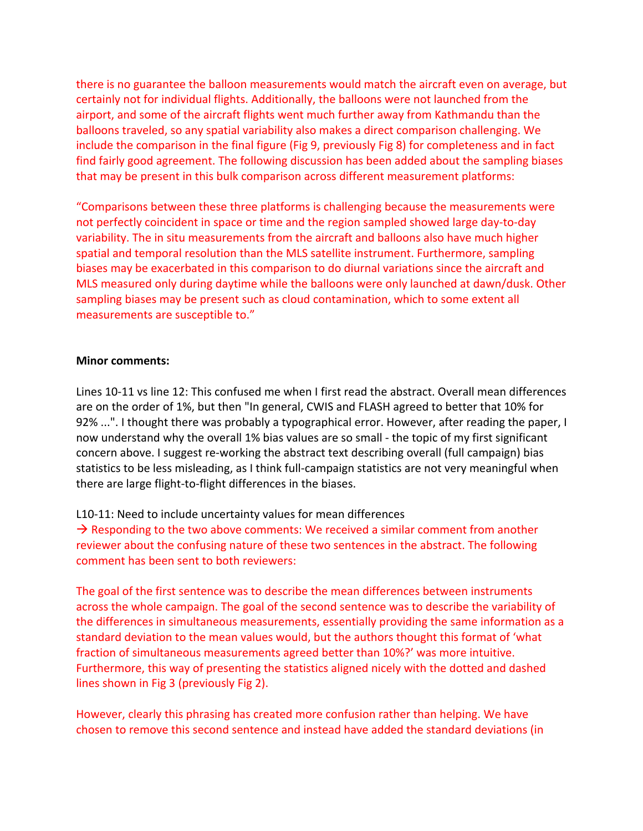there is no guarantee the balloon measurements would match the aircraft even on average, but certainly not for individual flights. Additionally, the balloons were not launched from the airport, and some of the aircraft flights went much further away from Kathmandu than the balloons traveled, so any spatial variability also makes a direct comparison challenging. We include the comparison in the final figure (Fig 9, previously Fig 8) for completeness and in fact find fairly good agreement. The following discussion has been added about the sampling biases that may be present in this bulk comparison across different measurement platforms:

"Comparisons between these three platforms is challenging because the measurements were not perfectly coincident in space or time and the region sampled showed large day-to-day variability. The in situ measurements from the aircraft and balloons also have much higher spatial and temporal resolution than the MLS satellite instrument. Furthermore, sampling biases may be exacerbated in this comparison to do diurnal variations since the aircraft and MLS measured only during daytime while the balloons were only launched at dawn/dusk. Other sampling biases may be present such as cloud contamination, which to some extent all measurements are susceptible to."

# **Minor comments:**

Lines 10-11 vs line 12: This confused me when I first read the abstract. Overall mean differences are on the order of 1%, but then "In general, CWIS and FLASH agreed to better that 10% for 92% ...". I thought there was probably a typographical error. However, after reading the paper, I now understand why the overall 1% bias values are so small - the topic of my first significant concern above. I suggest re-working the abstract text describing overall (full campaign) bias statistics to be less misleading, as I think full-campaign statistics are not very meaningful when there are large flight-to-flight differences in the biases.

# L10-11: Need to include uncertainty values for mean differences

 $\rightarrow$  Responding to the two above comments: We received a similar comment from another reviewer about the confusing nature of these two sentences in the abstract. The following comment has been sent to both reviewers:

The goal of the first sentence was to describe the mean differences between instruments across the whole campaign. The goal of the second sentence was to describe the variability of the differences in simultaneous measurements, essentially providing the same information as a standard deviation to the mean values would, but the authors thought this format of 'what fraction of simultaneous measurements agreed better than 10%?' was more intuitive. Furthermore, this way of presenting the statistics aligned nicely with the dotted and dashed lines shown in Fig 3 (previously Fig 2).

However, clearly this phrasing has created more confusion rather than helping. We have chosen to remove this second sentence and instead have added the standard deviations (in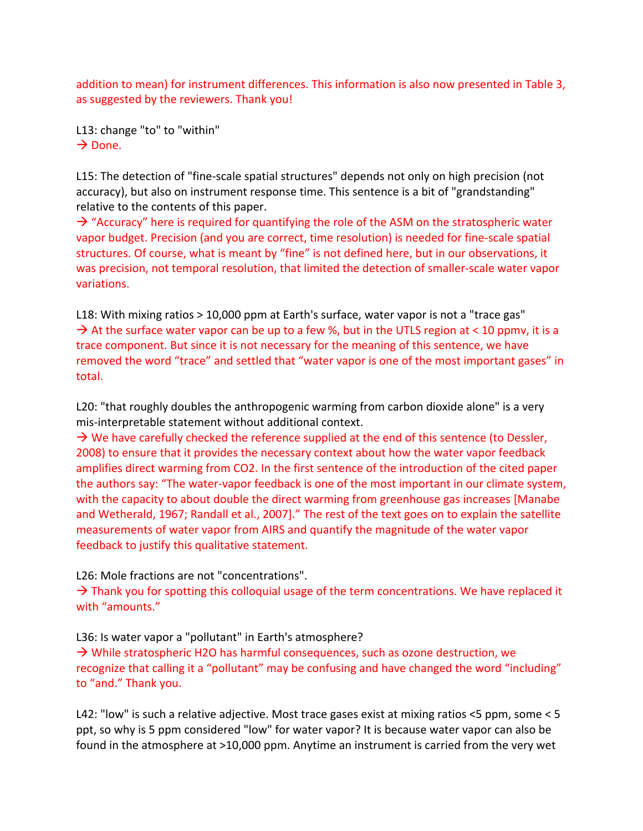addition to mean) for instrument differences. This information is also now presented in Table 3, as suggested by the reviewers. Thank you!

L13: change "to" to "within"  $\rightarrow$  Done.

L15: The detection of "fine-scale spatial structures" depends not only on high precision (not accuracy), but also on instrument response time. This sentence is a bit of "grandstanding" relative to the contents of this paper.

 $\rightarrow$  "Accuracy" here is required for quantifying the role of the ASM on the stratospheric water vapor budget. Precision (and you are correct, time resolution) is needed for fine-scale spatial structures. Of course, what is meant by "fine" is not defined here, but in our observations, it was precision, not temporal resolution, that limited the detection of smaller-scale water vapor variations.

L18: With mixing ratios > 10,000 ppm at Earth's surface, water vapor is not a "trace gas"  $\rightarrow$  At the surface water vapor can be up to a few %, but in the UTLS region at < 10 ppmv, it is a trace component. But since it is not necessary for the meaning of this sentence, we have removed the word "trace" and settled that "water vapor is one of the most important gases" in total.

L20: "that roughly doubles the anthropogenic warming from carbon dioxide alone" is a very mis-interpretable statement without additional context.

 $\rightarrow$  We have carefully checked the reference supplied at the end of this sentence (to Dessler, 2008) to ensure that it provides the necessary context about how the water vapor feedback amplifies direct warming from CO2. In the first sentence of the introduction of the cited paper the authors say: "The water-vapor feedback is one of the most important in our climate system, with the capacity to about double the direct warming from greenhouse gas increases [Manabe and Wetherald, 1967; Randall et al., 2007]." The rest of the text goes on to explain the satellite measurements of water vapor from AIRS and quantify the magnitude of the water vapor feedback to justify this qualitative statement.

L26: Mole fractions are not "concentrations".

 $\rightarrow$  Thank you for spotting this colloquial usage of the term concentrations. We have replaced it with "amounts."

L36: Is water vapor a "pollutant" in Earth's atmosphere?

 $\rightarrow$  While stratospheric H2O has harmful consequences, such as ozone destruction, we recognize that calling it a "pollutant" may be confusing and have changed the word "including" to "and." Thank you.

L42: "low" is such a relative adjective. Most trace gases exist at mixing ratios <5 ppm, some < 5 ppt, so why is 5 ppm considered "low" for water vapor? It is because water vapor can also be found in the atmosphere at >10,000 ppm. Anytime an instrument is carried from the very wet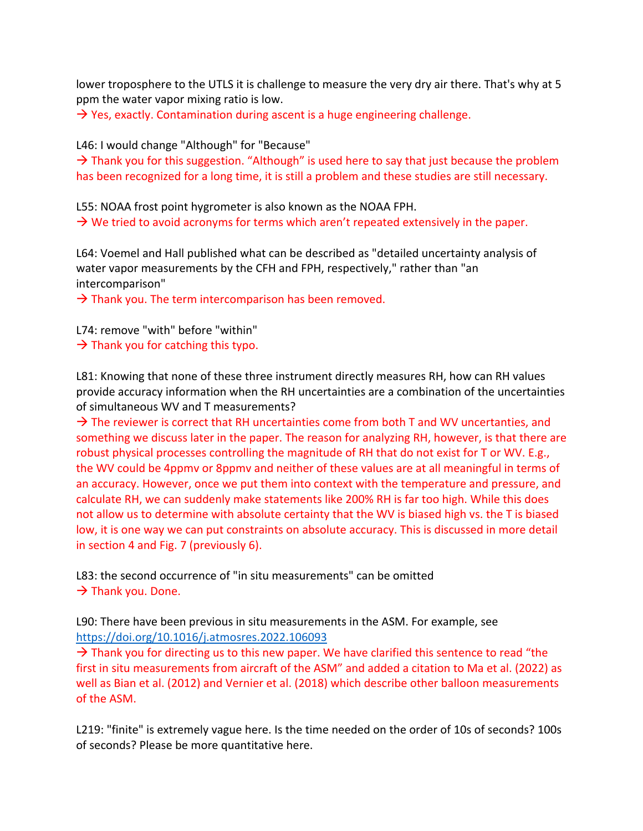lower troposphere to the UTLS it is challenge to measure the very dry air there. That's why at 5 ppm the water vapor mixing ratio is low.

 $\rightarrow$  Yes, exactly. Contamination during ascent is a huge engineering challenge.

L46: I would change "Although" for "Because"

 $\rightarrow$  Thank you for this suggestion. "Although" is used here to say that just because the problem has been recognized for a long time, it is still a problem and these studies are still necessary.

L55: NOAA frost point hygrometer is also known as the NOAA FPH.  $\rightarrow$  We tried to avoid acronyms for terms which aren't repeated extensively in the paper.

L64: Voemel and Hall published what can be described as "detailed uncertainty analysis of water vapor measurements by the CFH and FPH, respectively," rather than "an intercomparison"

 $\rightarrow$  Thank you. The term intercomparison has been removed.

L74: remove "with" before "within"  $\rightarrow$  Thank you for catching this typo.

L81: Knowing that none of these three instrument directly measures RH, how can RH values provide accuracy information when the RH uncertainties are a combination of the uncertainties of simultaneous WV and T measurements?

 $\rightarrow$  The reviewer is correct that RH uncertainties come from both T and WV uncertanties, and something we discuss later in the paper. The reason for analyzing RH, however, is that there are robust physical processes controlling the magnitude of RH that do not exist for T or WV. E.g., the WV could be 4ppmv or 8ppmv and neither of these values are at all meaningful in terms of an accuracy. However, once we put them into context with the temperature and pressure, and calculate RH, we can suddenly make statements like 200% RH is far too high. While this does not allow us to determine with absolute certainty that the WV is biased high vs. the T is biased low, it is one way we can put constraints on absolute accuracy. This is discussed in more detail in section 4 and Fig. 7 (previously 6).

L83: the second occurrence of "in situ measurements" can be omitted  $\rightarrow$  Thank you. Done.

L90: There have been previous in situ measurements in the ASM. For example, see https://doi.org/10.1016/j.atmosres.2022.106093

 $\rightarrow$  Thank you for directing us to this new paper. We have clarified this sentence to read "the first in situ measurements from aircraft of the ASM" and added a citation to Ma et al. (2022) as well as Bian et al. (2012) and Vernier et al. (2018) which describe other balloon measurements of the ASM.

L219: "finite" is extremely vague here. Is the time needed on the order of 10s of seconds? 100s of seconds? Please be more quantitative here.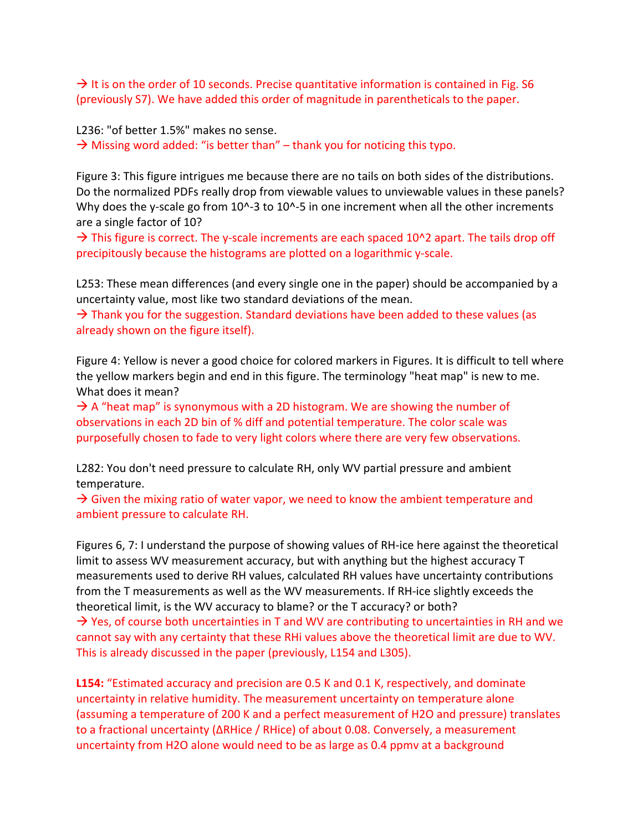$\rightarrow$  It is on the order of 10 seconds. Precise quantitative information is contained in Fig. S6 (previously S7). We have added this order of magnitude in parentheticals to the paper.

L236: "of better 1.5%" makes no sense.  $\rightarrow$  Missing word added: "is better than" – thank you for noticing this typo.

Figure 3: This figure intrigues me because there are no tails on both sides of the distributions. Do the normalized PDFs really drop from viewable values to unviewable values in these panels? Why does the y-scale go from 10^-3 to 10^-5 in one increment when all the other increments are a single factor of 10?

 $\rightarrow$  This figure is correct. The y-scale increments are each spaced 10^2 apart. The tails drop off precipitously because the histograms are plotted on a logarithmic y-scale.

L253: These mean differences (and every single one in the paper) should be accompanied by a uncertainty value, most like two standard deviations of the mean.

 $\rightarrow$  Thank you for the suggestion. Standard deviations have been added to these values (as already shown on the figure itself).

Figure 4: Yellow is never a good choice for colored markers in Figures. It is difficult to tell where the yellow markers begin and end in this figure. The terminology "heat map" is new to me. What does it mean?

 $\rightarrow$  A "heat map" is synonymous with a 2D histogram. We are showing the number of observations in each 2D bin of % diff and potential temperature. The color scale was purposefully chosen to fade to very light colors where there are very few observations.

L282: You don't need pressure to calculate RH, only WV partial pressure and ambient temperature.

 $\rightarrow$  Given the mixing ratio of water vapor, we need to know the ambient temperature and ambient pressure to calculate RH.

Figures 6, 7: I understand the purpose of showing values of RH-ice here against the theoretical limit to assess WV measurement accuracy, but with anything but the highest accuracy T measurements used to derive RH values, calculated RH values have uncertainty contributions from the T measurements as well as the WV measurements. If RH-ice slightly exceeds the theoretical limit, is the WV accuracy to blame? or the T accuracy? or both?  $\rightarrow$  Yes, of course both uncertainties in T and WV are contributing to uncertainties in RH and we cannot say with any certainty that these RHi values above the theoretical limit are due to WV. This is already discussed in the paper (previously, L154 and L305).

**L154:** "Estimated accuracy and precision are 0.5 K and 0.1 K, respectively, and dominate uncertainty in relative humidity. The measurement uncertainty on temperature alone (assuming a temperature of 200 K and a perfect measurement of H2O and pressure) translates to a fractional uncertainty (∆RHice / RHice) of about 0.08. Conversely, a measurement uncertainty from H2O alone would need to be as large as 0.4 ppmv at a background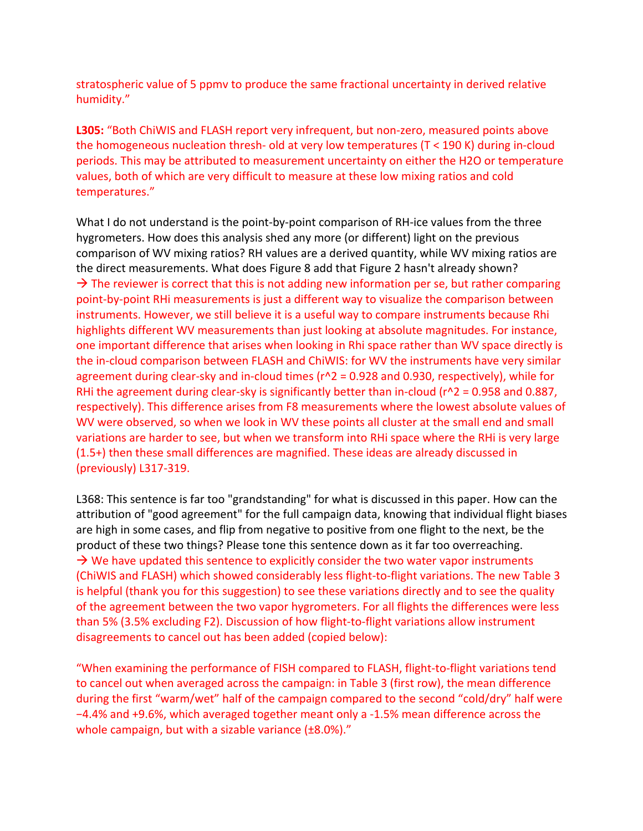stratospheric value of 5 ppmv to produce the same fractional uncertainty in derived relative humidity."

**L305:** "Both ChiWIS and FLASH report very infrequent, but non-zero, measured points above the homogeneous nucleation thresh- old at very low temperatures  $(T < 190 K)$  during in-cloud periods. This may be attributed to measurement uncertainty on either the H2O or temperature values, both of which are very difficult to measure at these low mixing ratios and cold temperatures."

What I do not understand is the point-by-point comparison of RH-ice values from the three hygrometers. How does this analysis shed any more (or different) light on the previous comparison of WV mixing ratios? RH values are a derived quantity, while WV mixing ratios are the direct measurements. What does Figure 8 add that Figure 2 hasn't already shown?  $\rightarrow$  The reviewer is correct that this is not adding new information per se, but rather comparing point-by-point RHi measurements is just a different way to visualize the comparison between instruments. However, we still believe it is a useful way to compare instruments because Rhi highlights different WV measurements than just looking at absolute magnitudes. For instance, one important difference that arises when looking in Rhi space rather than WV space directly is the in-cloud comparison between FLASH and ChiWIS: for WV the instruments have very similar agreement during clear-sky and in-cloud times ( $r^2$  = 0.928 and 0.930, respectively), while for RHi the agreement during clear-sky is significantly better than in-cloud ( $r^2$  = 0.958 and 0.887, respectively). This difference arises from F8 measurements where the lowest absolute values of WV were observed, so when we look in WV these points all cluster at the small end and small variations are harder to see, but when we transform into RHi space where the RHi is very large (1.5+) then these small differences are magnified. These ideas are already discussed in (previously) L317-319.

L368: This sentence is far too "grandstanding" for what is discussed in this paper. How can the attribution of "good agreement" for the full campaign data, knowing that individual flight biases are high in some cases, and flip from negative to positive from one flight to the next, be the product of these two things? Please tone this sentence down as it far too overreaching.  $\rightarrow$  We have updated this sentence to explicitly consider the two water vapor instruments (ChiWIS and FLASH) which showed considerably less flight-to-flight variations. The new Table 3 is helpful (thank you for this suggestion) to see these variations directly and to see the quality of the agreement between the two vapor hygrometers. For all flights the differences were less than 5% (3.5% excluding F2). Discussion of how flight-to-flight variations allow instrument disagreements to cancel out has been added (copied below):

"When examining the performance of FISH compared to FLASH, flight-to-flight variations tend to cancel out when averaged across the campaign: in Table 3 (first row), the mean difference during the first "warm/wet" half of the campaign compared to the second "cold/dry" half were −4.4% and +9.6%, which averaged together meant only a -1.5% mean difference across the whole campaign, but with a sizable variance (±8.0%)."